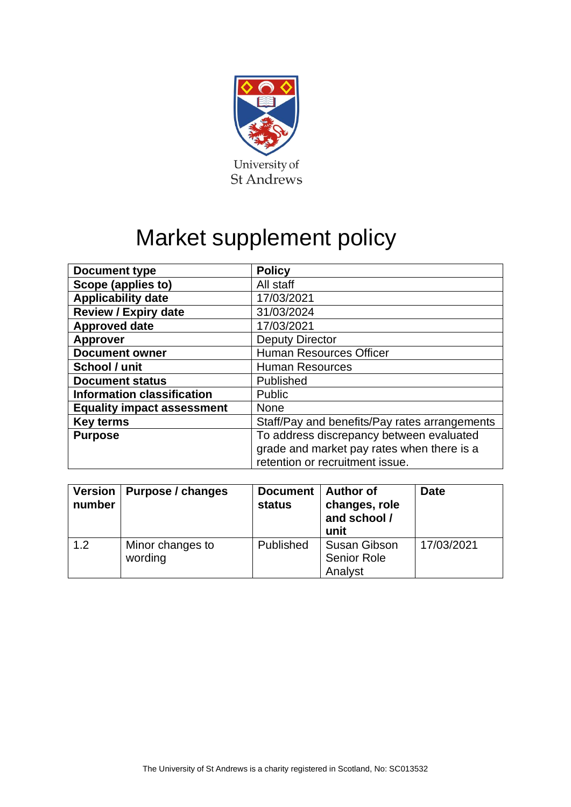

# Market supplement policy

| Document type                     | <b>Policy</b>                                 |  |  |
|-----------------------------------|-----------------------------------------------|--|--|
| Scope (applies to)                | All staff                                     |  |  |
| <b>Applicability date</b>         | 17/03/2021                                    |  |  |
| <b>Review / Expiry date</b>       | 31/03/2024                                    |  |  |
| <b>Approved date</b>              | 17/03/2021                                    |  |  |
| <b>Approver</b>                   | <b>Deputy Director</b>                        |  |  |
| <b>Document owner</b>             | <b>Human Resources Officer</b>                |  |  |
| School / unit                     | <b>Human Resources</b>                        |  |  |
| <b>Document status</b>            | Published                                     |  |  |
| <b>Information classification</b> | Public                                        |  |  |
| <b>Equality impact assessment</b> | <b>None</b>                                   |  |  |
| <b>Key terms</b>                  | Staff/Pay and benefits/Pay rates arrangements |  |  |
| <b>Purpose</b>                    | To address discrepancy between evaluated      |  |  |
|                                   | grade and market pay rates when there is a    |  |  |
|                                   | retention or recruitment issue.               |  |  |

| <b>Version</b><br>number | Purpose / changes           | <b>Document</b><br><b>status</b> | <b>Author of</b><br>changes, role<br>and school /<br>unit | <b>Date</b> |
|--------------------------|-----------------------------|----------------------------------|-----------------------------------------------------------|-------------|
| 1.2                      | Minor changes to<br>wording | Published                        | <b>Susan Gibson</b><br><b>Senior Role</b><br>Analyst      | 17/03/2021  |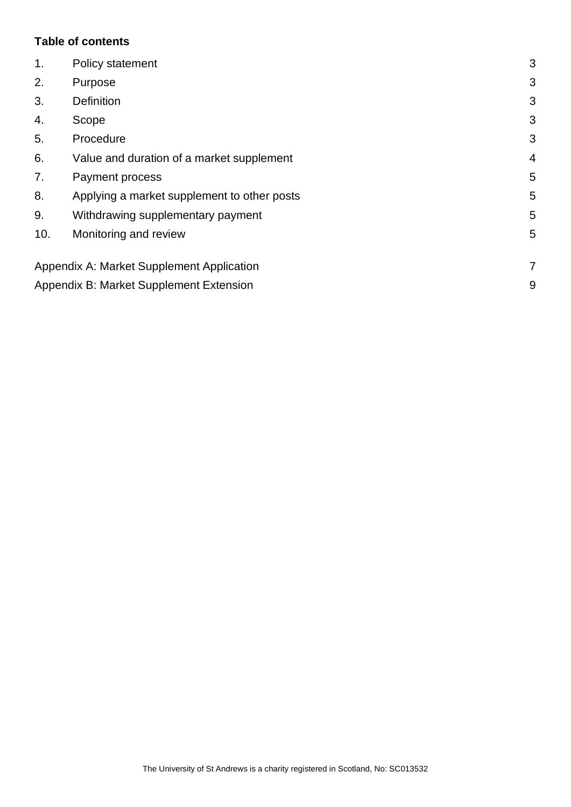#### **Table of contents**

| 1.  | Policy statement                            | 3              |
|-----|---------------------------------------------|----------------|
| 2.  | Purpose                                     | 3              |
| 3.  | <b>Definition</b>                           | 3              |
| 4.  | Scope                                       | 3              |
| 5.  | Procedure                                   | 3              |
| 6.  | Value and duration of a market supplement   | $\overline{4}$ |
| 7.  | Payment process                             | 5              |
| 8.  | Applying a market supplement to other posts | 5              |
| 9.  | Withdrawing supplementary payment           | 5              |
| 10. | Monitoring and review                       | 5              |
|     | Appendix A: Market Supplement Application   | 7              |
|     | Appendix B: Market Supplement Extension     | 9              |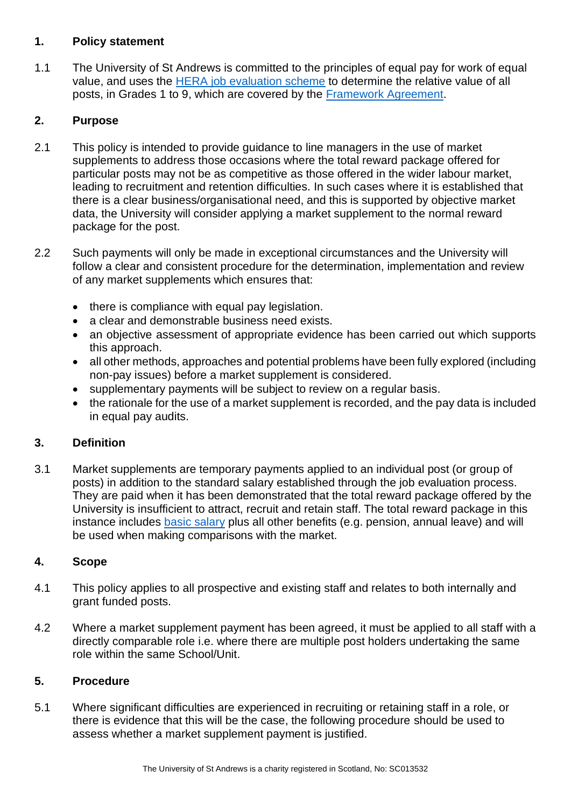#### <span id="page-2-0"></span>**1. Policy statement**

1.1 The University of St Andrews is committed to the principles of equal pay for work of equal value, and uses the [HERA job evaluation scheme](https://www.st-andrews.ac.uk/hr/gradingrewardandconditions/roleanalysisheraoverview/) to determine the relative value of all posts, in Grades 1 to 9, which are covered by the [Framework Agreement.](https://www.st-andrews.ac.uk/hr/gradingrewardandconditions/frameworkagreement/)

# <span id="page-2-1"></span>**2. Purpose**

- 2.1 This policy is intended to provide guidance to line managers in the use of market supplements to address those occasions where the total reward package offered for particular posts may not be as competitive as those offered in the wider labour market, leading to recruitment and retention difficulties. In such cases where it is established that there is a clear business/organisational need, and this is supported by objective market data, the University will consider applying a market supplement to the normal reward package for the post.
- 2.2 Such payments will only be made in exceptional circumstances and the University will follow a clear and consistent procedure for the determination, implementation and review of any market supplements which ensures that:
	- there is compliance with equal pay legislation.
	- a clear and demonstrable business need exists.
	- an objective assessment of appropriate evidence has been carried out which supports this approach.
	- all other methods, approaches and potential problems have been fully explored (including non-pay issues) before a market supplement is considered.
	- supplementary payments will be subject to review on a regular basis.
	- the rationale for the use of a market supplement is recorded, and the pay data is included in equal pay audits.

# <span id="page-2-2"></span>**3. Definition**

3.1 Market supplements are temporary payments applied to an individual post (or group of posts) in addition to the standard salary established through the job evaluation process. They are paid when it has been demonstrated that the total reward package offered by the University is insufficient to attract, recruit and retain staff. The total reward package in this instance includes [basic salary](https://www.st-andrews.ac.uk/hr/salariesandpensions/) plus all other benefits (e.g. pension, annual leave) and will be used when making comparisons with the market.

# <span id="page-2-3"></span>**4. Scope**

- 4.1 This policy applies to all prospective and existing staff and relates to both internally and grant funded posts.
- 4.2 Where a market supplement payment has been agreed, it must be applied to all staff with a directly comparable role i.e. where there are multiple post holders undertaking the same role within the same School/Unit.

# <span id="page-2-4"></span>**5. Procedure**

5.1 Where significant difficulties are experienced in recruiting or retaining staff in a role, or there is evidence that this will be the case, the following procedure should be used to assess whether a market supplement payment is justified.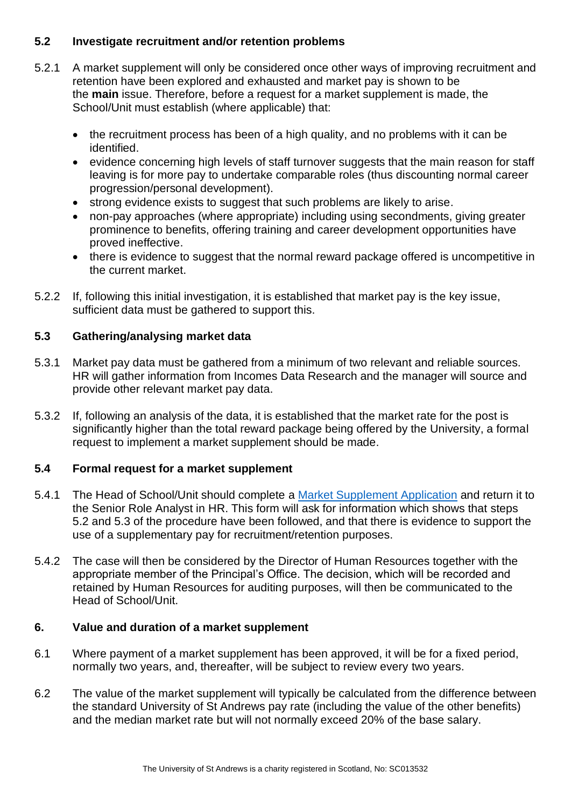#### **5.2 Investigate recruitment and/or retention problems**

- 5.2.1 A market supplement will only be considered once other ways of improving recruitment and retention have been explored and exhausted and market pay is shown to be the **main** issue. Therefore, before a request for a market supplement is made, the School/Unit must establish (where applicable) that:
	- the recruitment process has been of a high quality, and no problems with it can be identified.
	- evidence concerning high levels of staff turnover suggests that the main reason for staff leaving is for more pay to undertake comparable roles (thus discounting normal career progression/personal development).
	- strong evidence exists to suggest that such problems are likely to arise.
	- non-pay approaches (where appropriate) including using secondments, giving greater prominence to benefits, offering training and career development opportunities have proved ineffective.
	- there is evidence to suggest that the normal reward package offered is uncompetitive in the current market.
- 5.2.2 If, following this initial investigation, it is established that market pay is the key issue, sufficient data must be gathered to support this.

# **5.3 Gathering/analysing market data**

- 5.3.1 Market pay data must be gathered from a minimum of two relevant and reliable sources. HR will gather information from Incomes Data Research and the manager will source and provide other relevant market pay data.
- 5.3.2 If, following an analysis of the data, it is established that the market rate for the post is significantly higher than the total reward package being offered by the University, a formal request to implement a market supplement should be made.

#### **5.4 Formal request for a market supplement**

- 5.4.1 The Head of School/Unit should complete a [Market Supplement Application](#page-6-0) and return it to the Senior Role Analyst in HR. This form will ask for information which shows that steps 5.2 and 5.3 of the procedure have been followed, and that there is evidence to support the use of a supplementary pay for recruitment/retention purposes.
- 5.4.2 The case will then be considered by the Director of Human Resources together with the appropriate member of the Principal's Office. The decision, which will be recorded and retained by Human Resources for auditing purposes, will then be communicated to the Head of School/Unit.

#### <span id="page-3-0"></span>**6. Value and duration of a market supplement**

- 6.1 Where payment of a market supplement has been approved, it will be for a fixed period, normally two years, and, thereafter, will be subject to review every two years.
- 6.2 The value of the market supplement will typically be calculated from the difference between the standard University of St Andrews pay rate (including the value of the other benefits) and the median market rate but will not normally exceed 20% of the base salary.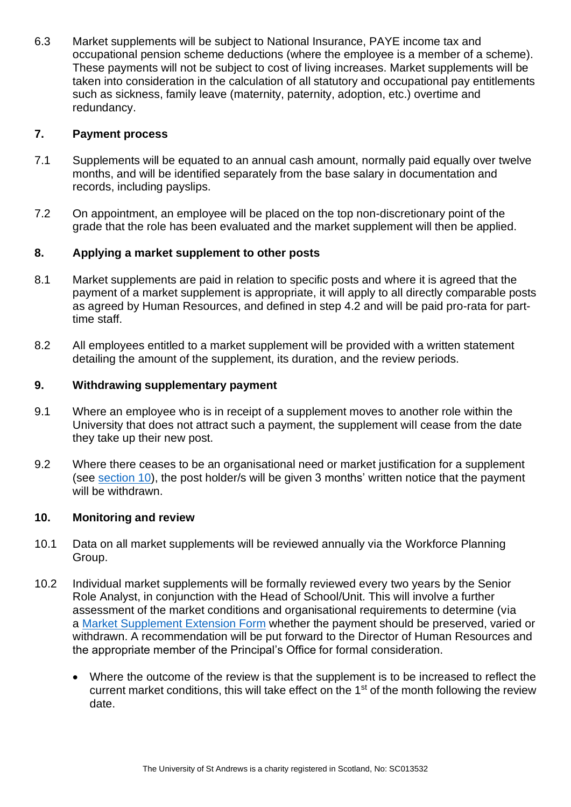6.3 Market supplements will be subject to National Insurance, PAYE income tax and occupational pension scheme deductions (where the employee is a member of a scheme). These payments will not be subject to cost of living increases. Market supplements will be taken into consideration in the calculation of all statutory and occupational pay entitlements such as sickness, family leave (maternity, paternity, adoption, etc.) overtime and redundancy.

#### <span id="page-4-0"></span>**7. Payment process**

- 7.1 Supplements will be equated to an annual cash amount, normally paid equally over twelve months, and will be identified separately from the base salary in documentation and records, including payslips.
- 7.2 On appointment, an employee will be placed on the top non-discretionary point of the grade that the role has been evaluated and the market supplement will then be applied.

#### <span id="page-4-1"></span>**8. Applying a market supplement to other posts**

- 8.1 Market supplements are paid in relation to specific posts and where it is agreed that the payment of a market supplement is appropriate, it will apply to all directly comparable posts as agreed by Human Resources, and defined in step 4.2 and will be paid pro-rata for parttime staff.
- 8.2 All employees entitled to a market supplement will be provided with a written statement detailing the amount of the supplement, its duration, and the review periods.

#### <span id="page-4-2"></span>**9. Withdrawing supplementary payment**

- 9.1 Where an employee who is in receipt of a supplement moves to another role within the University that does not attract such a payment, the supplement will cease from the date they take up their new post.
- 9.2 Where there ceases to be an organisational need or market justification for a supplement (see [section 10\)](#page-4-3), the post holder/s will be given 3 months' written notice that the payment will be withdrawn.

#### <span id="page-4-3"></span>**10. Monitoring and review**

- 10.1 Data on all market supplements will be reviewed annually via the Workforce Planning Group.
- 10.2 Individual market supplements will be formally reviewed every two years by the Senior Role Analyst, in conjunction with the Head of School/Unit. This will involve a further assessment of the market conditions and organisational requirements to determine (via a [Market Supplement Extension](#page-8-0) Form whether the payment should be preserved, varied or withdrawn. A recommendation will be put forward to the Director of Human Resources and the appropriate member of the Principal's Office for formal consideration.
	- Where the outcome of the review is that the supplement is to be increased to reflect the current market conditions, this will take effect on the 1<sup>st</sup> of the month following the review date.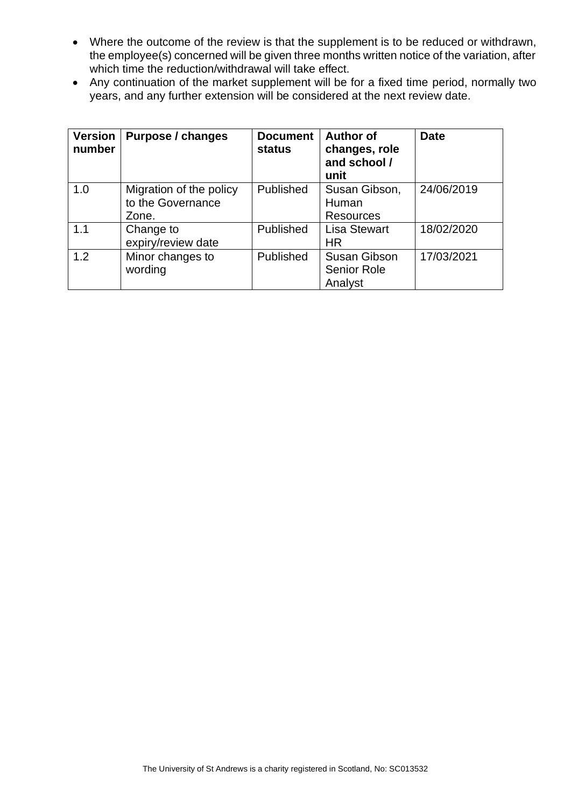- Where the outcome of the review is that the supplement is to be reduced or withdrawn, the employee(s) concerned will be given three months written notice of the variation, after which time the reduction/withdrawal will take effect.
- Any continuation of the market supplement will be for a fixed time period, normally two years, and any further extension will be considered at the next review date.

| <b>Version</b><br>number | Purpose / changes                                     | <b>Document</b><br>status | <b>Author of</b><br>changes, role<br>and school /<br>unit | <b>Date</b> |
|--------------------------|-------------------------------------------------------|---------------------------|-----------------------------------------------------------|-------------|
| 1.0                      | Migration of the policy<br>to the Governance<br>Zone. | Published                 | Susan Gibson,<br>Human<br><b>Resources</b>                | 24/06/2019  |
| 1.1                      | Change to<br>expiry/review date                       | Published                 | <b>Lisa Stewart</b><br><b>HR</b>                          | 18/02/2020  |
| 1.2                      | Minor changes to<br>wording                           | Published                 | Susan Gibson<br><b>Senior Role</b><br>Analyst             | 17/03/2021  |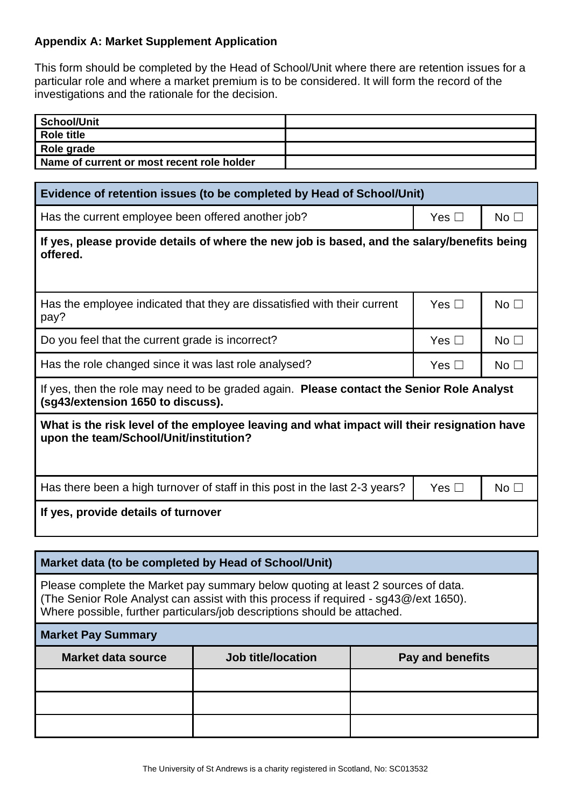## <span id="page-6-0"></span>**Appendix A: Market Supplement Application**

This form should be completed by the Head of School/Unit where there are retention issues for a particular role and where a market premium is to be considered. It will form the record of the investigations and the rationale for the decision.

| School/Unit                                |  |
|--------------------------------------------|--|
| Role title                                 |  |
| Role grade                                 |  |
| Name of current or most recent role holder |  |

| Evidence of retention issues (to be completed by Head of School/Unit)                                                                |               |                 |  |  |
|--------------------------------------------------------------------------------------------------------------------------------------|---------------|-----------------|--|--|
| Has the current employee been offered another job?                                                                                   | Yes $\square$ | No <sub>1</sub> |  |  |
| If yes, please provide details of where the new job is based, and the salary/benefits being<br>offered.                              |               |                 |  |  |
| Has the employee indicated that they are dissatisfied with their current<br>pay?                                                     | Yes $\Box$    | No <sub>1</sub> |  |  |
| Do you feel that the current grade is incorrect?                                                                                     | Yes $\square$ | No <sub>1</sub> |  |  |
| Has the role changed since it was last role analysed?                                                                                | Yes $\square$ | No <sub>1</sub> |  |  |
| If yes, then the role may need to be graded again. Please contact the Senior Role Analyst<br>(sg43/extension 1650 to discuss).       |               |                 |  |  |
| What is the risk level of the employee leaving and what impact will their resignation have<br>upon the team/School/Unit/institution? |               |                 |  |  |
| Has there been a high turnover of staff in this post in the last 2-3 years?                                                          | Yes $\Box$    | No <sub>1</sub> |  |  |
| If yes, provide details of turnover                                                                                                  |               |                 |  |  |

#### **Market data (to be completed by Head of School/Unit)**

Please complete the Market pay summary below quoting at least 2 sources of data. (The Senior Role Analyst can assist with this process if required - sg43@/ext 1650). Where possible, further particulars/job descriptions should be attached.

| <b>Market Pay Summary</b> |
|---------------------------|
|---------------------------|

| <b>Market data source</b> | Job title/location | Pay and benefits |
|---------------------------|--------------------|------------------|
|                           |                    |                  |
|                           |                    |                  |
|                           |                    |                  |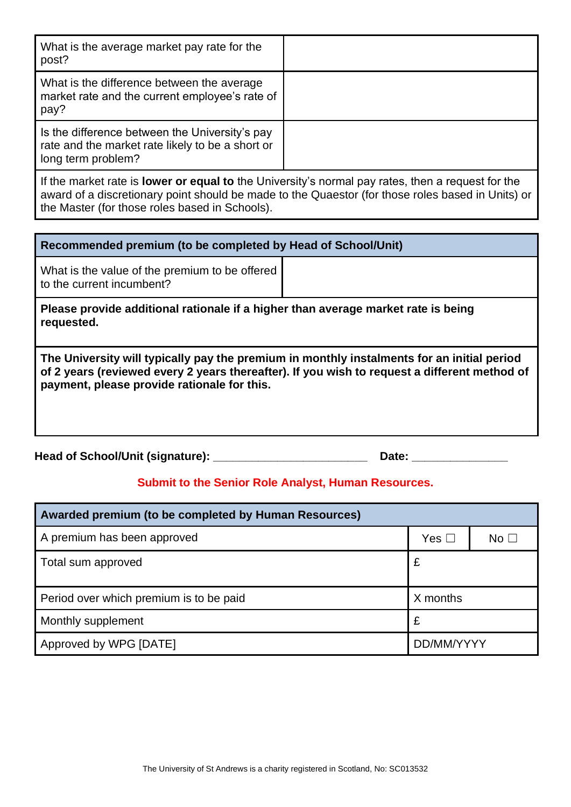| What is the average market pay rate for the<br>post?                                                                     |  |  |
|--------------------------------------------------------------------------------------------------------------------------|--|--|
| What is the difference between the average<br>market rate and the current employee's rate of<br>pay?                     |  |  |
| Is the difference between the University's pay<br>rate and the market rate likely to be a short or<br>long term problem? |  |  |
| If the merket rate in <b>Lawer ar equal to</b> the University's permal pourates, then a request for the                  |  |  |

If the market rate is **lower or equal to** the University's normal pay rates, then a request for the award of a discretionary point should be made to the Quaestor (for those roles based in Units) or the Master (for those roles based in Schools).

What is the value of the premium to be offered to the current incumbent?

**Please provide additional rationale if a higher than average market rate is being requested.**

**The University will typically pay the premium in monthly instalments for an initial period of 2 years (reviewed every 2 years thereafter). If you wish to request a different method of payment, please provide rationale for this.** 

| Head of School/Unit (signature): |  | Date: |
|----------------------------------|--|-------|
|----------------------------------|--|-------|

# **Submit to the Senior Role Analyst, Human Resources.**

| Awarded premium (to be completed by Human Resources) |               |             |  |  |
|------------------------------------------------------|---------------|-------------|--|--|
| A premium has been approved                          | Yes $\square$ | No $\sqcup$ |  |  |
| Total sum approved                                   | £             |             |  |  |
| Period over which premium is to be paid              | X months      |             |  |  |
| Monthly supplement                                   | £             |             |  |  |
| Approved by WPG [DATE]                               | DD/MM/YYYY    |             |  |  |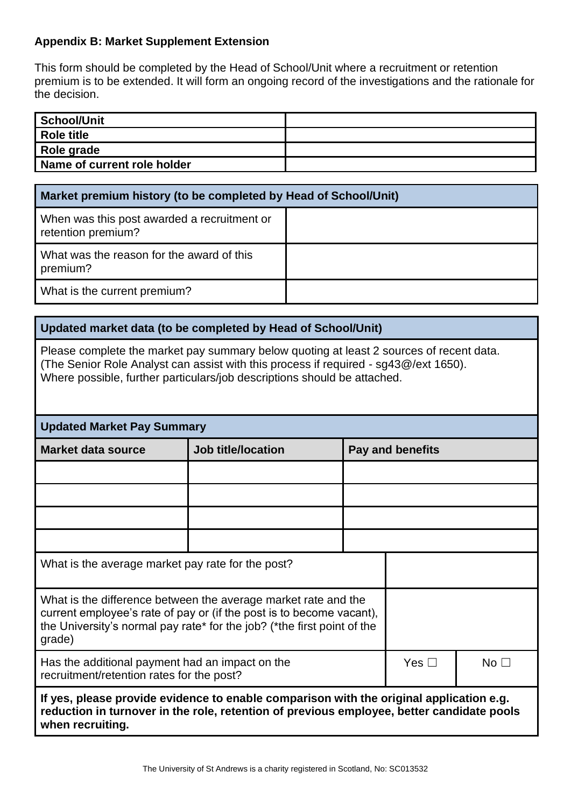## <span id="page-8-0"></span>**Appendix B: Market Supplement Extension**

This form should be completed by the Head of School/Unit where a recruitment or retention premium is to be extended. It will form an ongoing record of the investigations and the rationale for the decision.

| School/Unit                 |  |
|-----------------------------|--|
| <b>Role title</b>           |  |
| Role grade                  |  |
| Name of current role holder |  |

| Market premium history (to be completed by Head of School/Unit)   |  |  |  |
|-------------------------------------------------------------------|--|--|--|
| When was this post awarded a recruitment or<br>retention premium? |  |  |  |
| What was the reason for the award of this<br>premium?             |  |  |  |
| What is the current premium?                                      |  |  |  |

#### **Updated market data (to be completed by Head of School/Unit)**

Please complete the market pay summary below quoting at least 2 sources of recent data. (The Senior Role Analyst can assist with this process if required - sg43@/ext 1650). Where possible, further particulars/job descriptions should be attached.

| <b>Updated Market Pay Summary</b>                                                                                                                                                                                           |                           |                  |               |                 |
|-----------------------------------------------------------------------------------------------------------------------------------------------------------------------------------------------------------------------------|---------------------------|------------------|---------------|-----------------|
| <b>Market data source</b>                                                                                                                                                                                                   | <b>Job title/location</b> | Pay and benefits |               |                 |
|                                                                                                                                                                                                                             |                           |                  |               |                 |
|                                                                                                                                                                                                                             |                           |                  |               |                 |
|                                                                                                                                                                                                                             |                           |                  |               |                 |
|                                                                                                                                                                                                                             |                           |                  |               |                 |
| What is the average market pay rate for the post?                                                                                                                                                                           |                           |                  |               |                 |
| What is the difference between the average market rate and the<br>current employee's rate of pay or (if the post is to become vacant),<br>the University's normal pay rate* for the job? (*the first point of the<br>grade) |                           |                  |               |                 |
| Has the additional payment had an impact on the<br>recruitment/retention rates for the post?                                                                                                                                |                           |                  | Yes $\square$ | No <sub>1</sub> |
| If yes, please provide evidence to enable comparison with the original application e.g.<br>reduction in turnover in the role, retention of previous employee, better candidate pools<br>when recruiting.                    |                           |                  |               |                 |